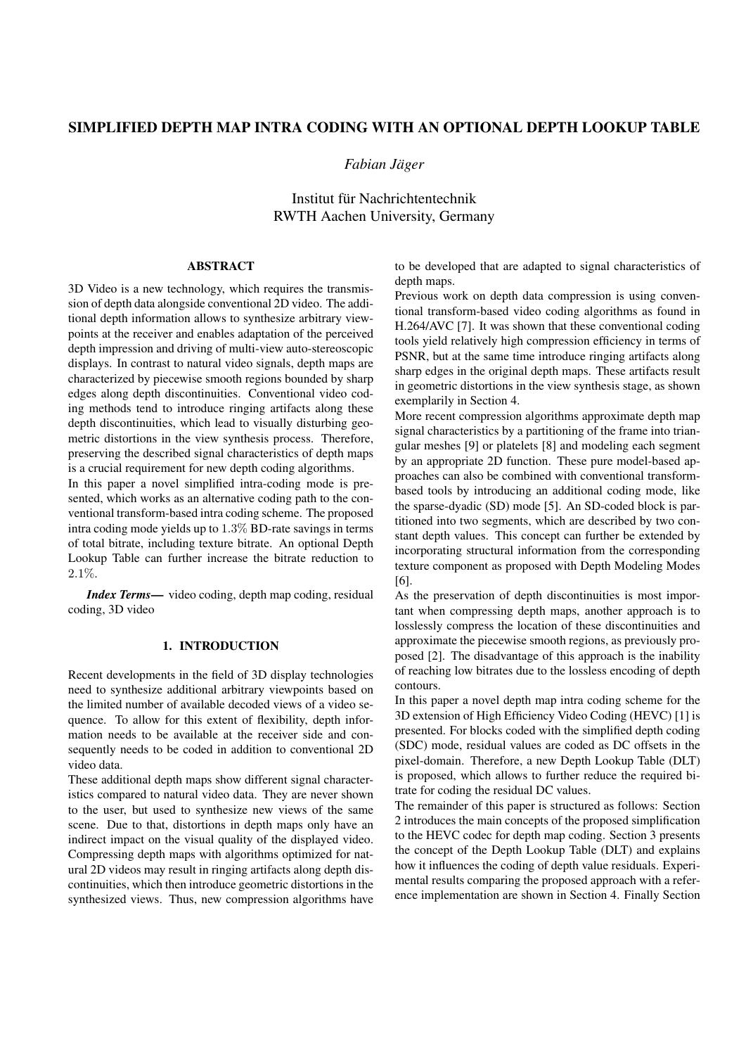# SIMPLIFIED DEPTH MAP INTRA CODING WITH AN OPTIONAL DEPTH LOOKUP TABLE

*Fabian Jager ¨*

Institut für Nachrichtentechnik RWTH Aachen University, Germany

### ABSTRACT

3D Video is a new technology, which requires the transmission of depth data alongside conventional 2D video. The additional depth information allows to synthesize arbitrary viewpoints at the receiver and enables adaptation of the perceived depth impression and driving of multi-view auto-stereoscopic displays. In contrast to natural video signals, depth maps are characterized by piecewise smooth regions bounded by sharp edges along depth discontinuities. Conventional video coding methods tend to introduce ringing artifacts along these depth discontinuities, which lead to visually disturbing geometric distortions in the view synthesis process. Therefore, preserving the described signal characteristics of depth maps is a crucial requirement for new depth coding algorithms.

In this paper a novel simplified intra-coding mode is presented, which works as an alternative coding path to the conventional transform-based intra coding scheme. The proposed intra coding mode yields up to 1.3% BD-rate savings in terms of total bitrate, including texture bitrate. An optional Depth Lookup Table can further increase the bitrate reduction to 2.1%.

*Index Terms*— video coding, depth map coding, residual coding, 3D video

# 1. INTRODUCTION

Recent developments in the field of 3D display technologies need to synthesize additional arbitrary viewpoints based on the limited number of available decoded views of a video sequence. To allow for this extent of flexibility, depth information needs to be available at the receiver side and consequently needs to be coded in addition to conventional 2D video data.

These additional depth maps show different signal characteristics compared to natural video data. They are never shown to the user, but used to synthesize new views of the same scene. Due to that, distortions in depth maps only have an indirect impact on the visual quality of the displayed video. Compressing depth maps with algorithms optimized for natural 2D videos may result in ringing artifacts along depth discontinuities, which then introduce geometric distortions in the synthesized views. Thus, new compression algorithms have to be developed that are adapted to signal characteristics of depth maps.

Previous work on depth data compression is using conventional transform-based video coding algorithms as found in H.264/AVC [7]. It was shown that these conventional coding tools yield relatively high compression efficiency in terms of PSNR, but at the same time introduce ringing artifacts along sharp edges in the original depth maps. These artifacts result in geometric distortions in the view synthesis stage, as shown exemplarily in Section 4.

More recent compression algorithms approximate depth map signal characteristics by a partitioning of the frame into triangular meshes [9] or platelets [8] and modeling each segment by an appropriate 2D function. These pure model-based approaches can also be combined with conventional transformbased tools by introducing an additional coding mode, like the sparse-dyadic (SD) mode [5]. An SD-coded block is partitioned into two segments, which are described by two constant depth values. This concept can further be extended by incorporating structural information from the corresponding texture component as proposed with Depth Modeling Modes [6].

As the preservation of depth discontinuities is most important when compressing depth maps, another approach is to losslessly compress the location of these discontinuities and approximate the piecewise smooth regions, as previously proposed [2]. The disadvantage of this approach is the inability of reaching low bitrates due to the lossless encoding of depth contours.

In this paper a novel depth map intra coding scheme for the 3D extension of High Efficiency Video Coding (HEVC) [1] is presented. For blocks coded with the simplified depth coding (SDC) mode, residual values are coded as DC offsets in the pixel-domain. Therefore, a new Depth Lookup Table (DLT) is proposed, which allows to further reduce the required bitrate for coding the residual DC values.

The remainder of this paper is structured as follows: Section 2 introduces the main concepts of the proposed simplification to the HEVC codec for depth map coding. Section 3 presents the concept of the Depth Lookup Table (DLT) and explains how it influences the coding of depth value residuals. Experimental results comparing the proposed approach with a reference implementation are shown in Section 4. Finally Section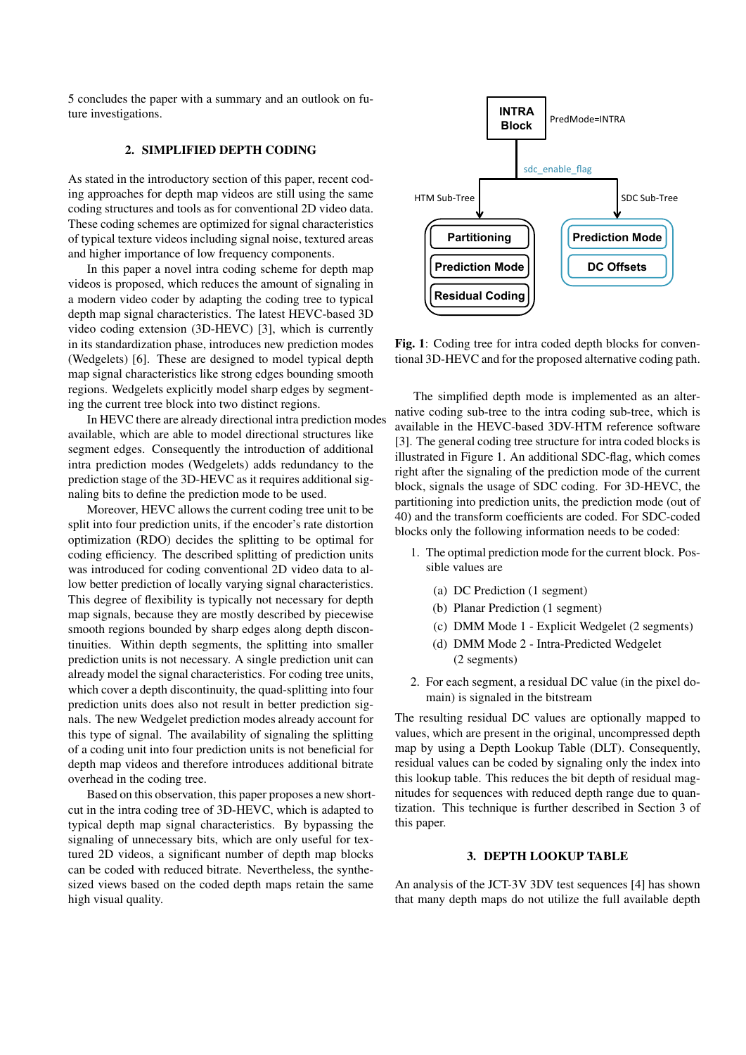5 concludes the paper with a summary and an outlook on future investigations.

### 2. SIMPLIFIED DEPTH CODING

As stated in the introductory section of this paper, recent coding approaches for depth map videos are still using the same coding structures and tools as for conventional 2D video data. These coding schemes are optimized for signal characteristics of typical texture videos including signal noise, textured areas and higher importance of low frequency components.

In this paper a novel intra coding scheme for depth map videos is proposed, which reduces the amount of signaling in a modern video coder by adapting the coding tree to typical depth map signal characteristics. The latest HEVC-based 3D video coding extension (3D-HEVC) [3], which is currently in its standardization phase, introduces new prediction modes (Wedgelets) [6]. These are designed to model typical depth map signal characteristics like strong edges bounding smooth regions. Wedgelets explicitly model sharp edges by segmenting the current tree block into two distinct regions.

In HEVC there are already directional intra prediction modes available, which are able to model directional structures like segment edges. Consequently the introduction of additional intra prediction modes (Wedgelets) adds redundancy to the prediction stage of the 3D-HEVC as it requires additional signaling bits to define the prediction mode to be used.

Moreover, HEVC allows the current coding tree unit to be split into four prediction units, if the encoder's rate distortion optimization (RDO) decides the splitting to be optimal for coding efficiency. The described splitting of prediction units was introduced for coding conventional 2D video data to allow better prediction of locally varying signal characteristics. This degree of flexibility is typically not necessary for depth map signals, because they are mostly described by piecewise smooth regions bounded by sharp edges along depth discontinuities. Within depth segments, the splitting into smaller prediction units is not necessary. A single prediction unit can already model the signal characteristics. For coding tree units, which cover a depth discontinuity, the quad-splitting into four prediction units does also not result in better prediction signals. The new Wedgelet prediction modes already account for this type of signal. The availability of signaling the splitting of a coding unit into four prediction units is not beneficial for depth map videos and therefore introduces additional bitrate overhead in the coding tree.

Based on this observation, this paper proposes a new shortcut in the intra coding tree of 3D-HEVC, which is adapted to typical depth map signal characteristics. By bypassing the signaling of unnecessary bits, which are only useful for textured 2D videos, a significant number of depth map blocks can be coded with reduced bitrate. Nevertheless, the synthesized views based on the coded depth maps retain the same high visual quality.



It is 1: Coding tree for intra coded depth blocks for conventional 3D-HEVC and for the proposed alternative coding path.

The simplified depth mode is implemented as an alternative coding sub-tree to the intra coding sub-tree, which is available in the HEVC-based 3DV-HTM reference software [3]. The general coding tree structure for intra coded blocks is illustrated in Figure 1. An additional SDC-flag, which comes right after the signaling of the prediction mode of the current block, signals the usage of SDC coding. For 3D-HEVC, the partitioning into prediction units, the prediction mode (out of 40) and the transform coefficients are coded. For SDC-coded blocks only the following information needs to be coded:

- 1. The optimal prediction mode for the current block. Possible values are
	- (a) DC Prediction (1 segment)
	- (b) Planar Prediction (1 segment)
	- (c) DMM Mode 1 Explicit Wedgelet (2 segments)
	- (d) DMM Mode 2 Intra-Predicted Wedgelet (2 segments)
- 2. For each segment, a residual DC value (in the pixel domain) is signaled in the bitstream

The resulting residual DC values are optionally mapped to values, which are present in the original, uncompressed depth map by using a Depth Lookup Table (DLT). Consequently, residual values can be coded by signaling only the index into this lookup table. This reduces the bit depth of residual magnitudes for sequences with reduced depth range due to quantization. This technique is further described in Section 3 of this paper.

## 3. DEPTH LOOKUP TABLE

An analysis of the JCT-3V 3DV test sequences [4] has shown that many depth maps do not utilize the full available depth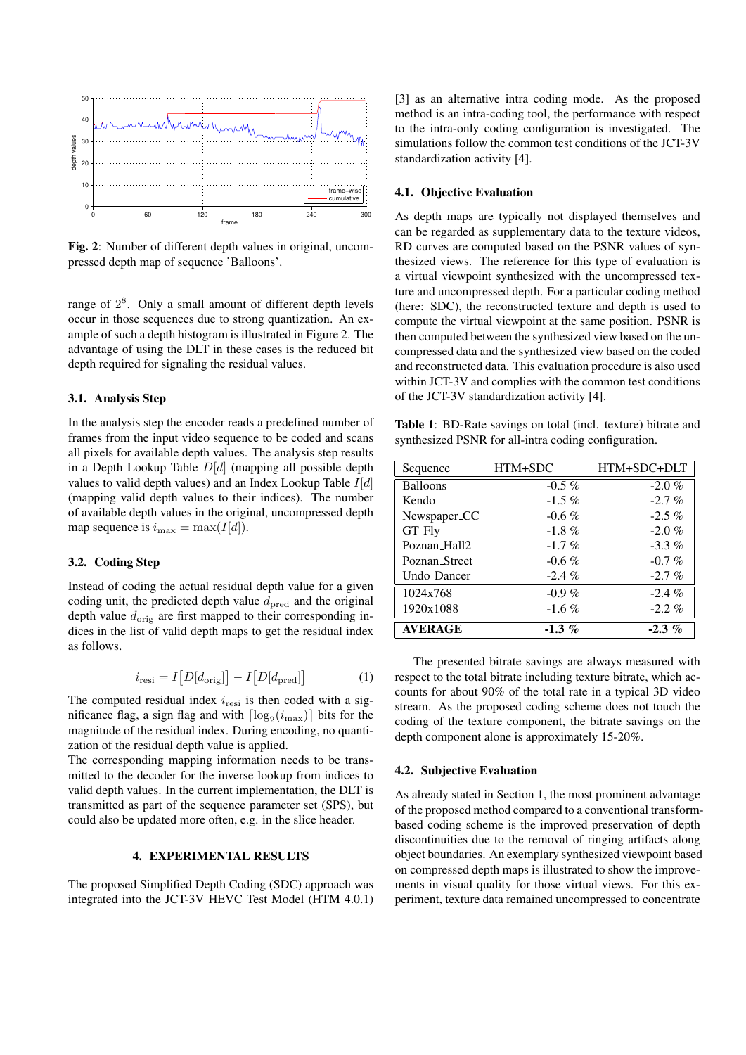

Fig. 2: Number of different depth values in original, uncompressed depth map of sequence 'Balloons'.

ture and uncomp<br>range of  $2^8$ . Only a small amount of different depth levels (here: SDC), the advantage of using the DLT in these cases is the reduced bit compressed data and the synt<br>depth required for signaling the residual values  $\mathbf{1}$ depth required for signaling the residual values. ample of such a depth histogram is illustrated in Figure 2. The occur in those sequences due to strong quantization. An exrange of  $2^8$ . Only a small amount of different depth levels  $rac{c}{\epsilon}$ 

### 3.1. Analysis Step

In the analysis step the encoder reads a predefined number of all pixels for available depth values. The analysis step results in a Depth Lookup Table  $D[d]$  (mapping all possible depth  $\qquad \qquad$  Sequence  $\qquad$  HTM+SI for each frame. On average, each frame uses only about 35 to 38 di↵erent depth values. (mapping valid depth values to their indices). The number of available depth values in the original, uncompressed depth  $\left|\begin{array}{c}\text{Rend} \\ \text{Newspaper\_CC}\end{array}\right|$ map sequence is  $i_{\text{max}} = \max(I[d])$ . GT\_Fly inap sequence is  $v_{\text{max}} = \max(T[u])$ . frames from the input video sequence to be coded and scans values to valid depth values) and an Index Lookup Table  $I[d]$ 

#### $t<sub>3.2.</sub>$  Coding Step 3.2. Coding Step

Instead of coding the actual residual depth value for a given  $\sqrt{\frac{1024 \times 768}{1024 \times 768}}$ depth value  $d_{\text{orig}}$  are first mapped to their corresponding indices in the list of valid depth maps to get the residual index  $\boxed{\text{AVERAGE}}$  $\overline{\phantom{a}}$  as follows.  $f(x) = \frac{1}{2} \int_{0}^{1} f(x) \, dx$ coding unit, the predicted depth value  $d_{\text{pred}}$  and the original as follows.

$$
i_{\rm resi} = I[D[d_{\rm orig}]] - I[D[d_{\rm pred}]] \tag{1}
$$

The computed residual index  $i_{\text{resi}}$  is then coded with a sigmetric 3.1 sign hag and with  $\lfloor \log_2(\text{max}) \rfloor$  bus for the coding of the texture component magnitude of the residual index. During encoding, no quantization of the residual depth value is applied.<br>  $\frac{1}{2}$  depth component alone is applied. nificance flag, a sign flag and with  $\lceil \log_2(i_{\text{max}}) \rceil$  bits for the magnitude of the regidual index. During encoding no quanti

The corresponding mapping information needs to be trans-<br>
<sup>1</sup> 2 Subjective Evaluation valid depth values. In the current implementation, the DLT is  $A_s$  already stated in Section 1 transmitted as part of the sequence parameter set (SPS), but could also be updated more often, e.g. in the slice header. mitted to the decoder for the inverse lookup from indices to

# 4. EXPERIMENTAL RESULTS

integrated into the JCT-3V HEVC Test Model (HTM 4.0.1) The proposed Simplified Depth Coding (SDC) approach was

[3] as an alternative intra coding mode. As the proposed method is an intra-coding tool, the performance with respect to the intra-only coding configuration is investigated. The simulations follow the common test conditions of the JCT-3V standardization activity [4].

### 4.1. Objective Evaluation

s in original, uncom-<br>RD curves are computed based on the PSNR values of syn-As depth maps are typically not displayed themselves and can be regarded as supplementary data to the texture videos, thesized views. The reference for this type of evaluation is  $s_{\text{eff}}$  and above 200 are very rare very rare very rare very rare very rare very rare very rare very rare very rare very rare very rare very rare very rare very rare very rare very rare very result on  $JCT-3V$  and compli 3.1. Analysis Step of the JCT-3V standardization activity [4]. a virtual viewpoint synthesized with the uncompressed texture and uncompressed depth. For a particular coding method (here: SDC), the reconstructed texture and depth is used to compute the virtual viewpoint at the same position. PSNR is then computed between the synthesized view based on the uncompressed data and the synthesized view based on the coded and reconstructed data. This evaluation procedure is also used

Table 1: BD-Rate savings on total (incl. texture) bitrate and synthesized PSNR for all-intra coding configuration.

| in a Depth Lookup Table $D[d]$ (mapping all possible depth<br>values to valid depth values) and an Index Lookup Table $I[d]$                                                                                              | Sequence                 | HTM+SDC   | HTM+SDC+DLT |
|---------------------------------------------------------------------------------------------------------------------------------------------------------------------------------------------------------------------------|--------------------------|-----------|-------------|
|                                                                                                                                                                                                                           | <b>Balloons</b>          | $-0.5\%$  | $-2.0 \%$   |
| (mapping valid depth values to their indices). The number                                                                                                                                                                 | Kendo                    | $-1.5\%$  | $-2.7 \%$   |
| of available depth values in the original, uncompressed depth                                                                                                                                                             | Newspaper <sub>-CC</sub> | $-0.6\%$  | $-2.5\%$    |
| map sequence is $i_{\max} = \max(I d )$ .                                                                                                                                                                                 | GT_Fly                   | $-1.8 \%$ | $-2.0 \%$   |
|                                                                                                                                                                                                                           | Poznan_Hall2             | $-1.7\%$  | $-3.3\%$    |
| 3.2. Coding Step                                                                                                                                                                                                          | Poznan_Street            | $-0.6\%$  | $-0.7 \%$   |
|                                                                                                                                                                                                                           | Undo_Dancer              | $-2.4 \%$ | $-2.7 \%$   |
| Instead of coding the actual residual depth value for a given                                                                                                                                                             | 1024x768                 | $-0.9\%$  | $-2.4\%$    |
| coding unit, the predicted depth value $d_{\text{pred}}$ and the original<br>depth value $d_{\text{orig}}$ are first mapped to their corresponding in-<br>dices in the list of valid depth maps to get the residual index | 1920x1088                | $-1.6\%$  | $-2.2 \%$   |
|                                                                                                                                                                                                                           | <b>AVERAGE</b>           | $-1.3\%$  | $-2.3\%$    |

 $i_{\text{resi}} = I[D[d_{\text{orig}}]] - I[D[d_{\text{pred}}]]$  (1) respect to the total bitrate including texture bitrate, which ac-The presented bitrate savings are always measured with counts for about 90% of the total rate in a typical 3D video stream. As the proposed coding scheme does not touch the coding of the texture component, the bitrate savings on the depth component alone is approximately 15-20%.

### 4.2. Subjective Evaluation

 $S<sub>1</sub>$  sequences in the test-set can be found in Appendix B. As already stated in Section 1, the most prominent advantage of the proposed method compared to a conventional transformbased coding scheme is the improved preservation of depth discontinuities due to the removal of ringing artifacts along object boundaries. An exemplary synthesized viewpoint based on compressed depth maps is illustrated to show the improvements in visual quality for those virtual views. For this experiment, texture data remained uncompressed to concentrate